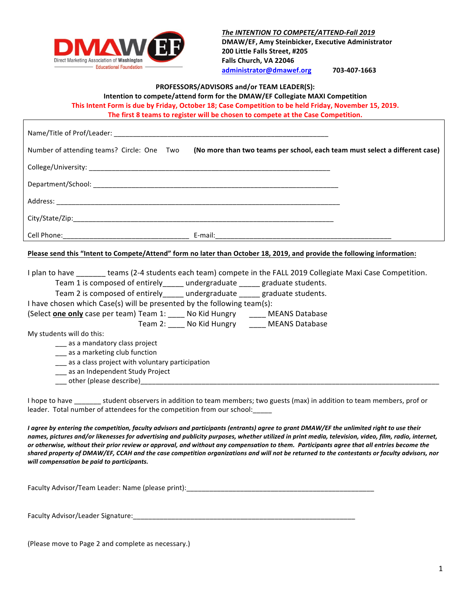

The INTENTION TO COMPETE/ATTEND-Fall 2019 **DMAW/EF, Amy Steinbicker, Executive Administrator 200 Little Falls Street, #205** Falls Church, VA 22046 **administrator@dmawef.org 703-407-1663**

### PROFESSORS/ADVISORS and/or TEAM LEADER(S):

**Intention to compete/attend form for the DMAW/EF Collegiate MAXI Competition** 

This Intent Form is due by Friday, October 18; Case Competition to be held Friday, November 15, 2019.

The first 8 teams to register will be chosen to compete at the Case Competition.

| Number of attending teams? Circle: One Two (No more than two teams per school, each team must select a different case)  |  |  |  |  |
|-------------------------------------------------------------------------------------------------------------------------|--|--|--|--|
|                                                                                                                         |  |  |  |  |
|                                                                                                                         |  |  |  |  |
|                                                                                                                         |  |  |  |  |
|                                                                                                                         |  |  |  |  |
|                                                                                                                         |  |  |  |  |
| Please send this "Intent to Compete/Attend" form no later than October 18, 2019, and provide the following information: |  |  |  |  |
| I plan to have _______ teams (2-4 students each team) compete in the FALL 2019 Collegiate Maxi Case Competition.        |  |  |  |  |
| Team 1 is composed of entirely_____ undergraduate _____ graduate students.                                              |  |  |  |  |
| Team 2 is composed of entirely undergraduate semi-graduate students.                                                    |  |  |  |  |
| I have chosen which Case(s) will be presented by the following team(s):                                                 |  |  |  |  |
| (Select one only case per team) Team 1: ____ No Kid Hungry _____ MEANS Database                                         |  |  |  |  |
| Team 2: ____ No Kid Hungry _____ MEANS Database                                                                         |  |  |  |  |

My students will do this:

\_\_\_ as a mandatory class project

\_\_\_ as a marketing club function

- \_\_\_ as a class project with voluntary participation
- \_\_\_ as an Independent Study Project
- \_\_\_\_ other (please describe)\_

I hope to have \_\_\_\_\_\_\_ student observers in addition to team members; two guests (max) in addition to team members, prof or leader. Total number of attendees for the competition from our school:

*I* agree by entering the competition, faculty advisors and participants (entrants) agree to grant DMAW/EF the unlimited right to use their names, pictures and/or likenesses for advertising and publicity purposes, whether utilized in print media, television, video, film, radio, internet, or otherwise, without their prior review or approval, and without any compensation to them. Participants agree that all entries become the shared property of DMAW/EF, CCAH and the case competition organizations and will not be returned to the contestants or faculty advisors, nor *will compensation be paid to participants.* 

Faculty Advisor/Team Leader: Name (please print): \_\_\_\_\_\_\_\_\_\_\_\_\_\_\_\_\_\_\_\_\_\_\_\_\_\_\_\_\_\_

Faculty Advisor/Leader Signature:

(Please move to Page 2 and complete as necessary.)